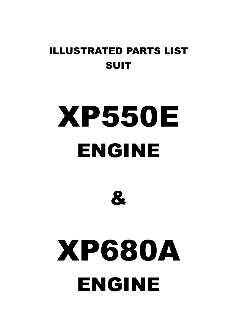### ILLUSTRATED PARTS LIST SUIT

## XP550E ENGINE



# XP680A ENGINE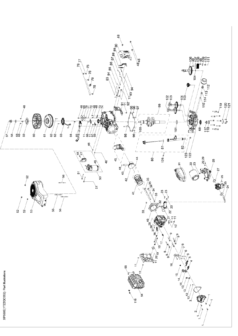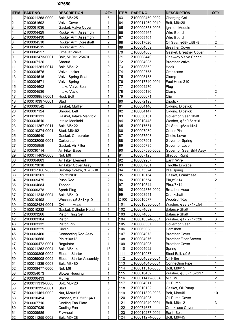### **XP550**

| <b>ITEM</b>    | <b>PART NO.</b>  | <b>DESCRIPTION</b>                    | QTY            | <b>ITEM</b> | <b>PART NO.</b> | <b>DESCRIPTION</b>                      | QTY            |
|----------------|------------------|---------------------------------------|----------------|-------------|-----------------|-----------------------------------------|----------------|
| 1              | Z100011268-0009  | Bolt, M6×25                           | 5              | 63          | Z100009450-0002 | <b>Charging Coil</b>                    | 1              |
| $\overline{2}$ | Z100061692       | <b>Valve Cover</b>                    | 1              | 64          | Z100011269-0010 | Bolt, M6×28                             | 1              |
| 3              | Z100061036       | Gasket, Valve Cover                   | 1              | 65          | Z100009353-0003 | Ignition Module                         | 1              |
| 4              | Z100004429       | Rocker Arm Assembly                   | 1              | 66          | Z100009465      | <b>Wire Board</b>                       | 1              |
| 5              | Z100004430       | Rocker Arm Assembly                   | 1              | 67          | Z100009464      | <b>Wire Board</b>                       | 1              |
| 6              | Z100004510       | Rocker Arm Coreshaft                  | $\overline{c}$ | 68          | Z100017626      | Oil Seal, $\varphi$ 38× $\varphi$ 58×8  | $\overline{c}$ |
| 7              | Z100004515       | Rocker Arm Pin                        | 1              | 69          | Z100004059      | <b>Breather Cover</b>                   | 1              |
| 8              | Z100004557       | <b>Exhaust Valve</b>                  | 1              | 70          | Z100004063      | Gasket, Breather Cover                  | 1              |
| 9              | Z100002473-0001  | Bolt, M10×1.25×70                     | 6              | 71          | Z100008440      | One-way Valve Spring                    | $\mathbf{1}$   |
| 10             | Z100007126       | Shroud                                | $\mathbf{1}$   | 72          | Z100004085      | <b>Breather Valve</b>                   | 1              |
| 11             | Z100011261-0014  | Bolt, M6×12                           | 9              | 73          | Z100008852      | Hook                                    | 1              |
| 12             | Z100004576       | Valve Locker                          | 4              | 74          | Z100002755      | Crankcase                               | 1              |
| 13             | Z100004516       | Valve Spring Seat                     | $\overline{c}$ | 75          | Z100005138      | Clamp                                   | 1              |
| 14             | Z100004571       | <b>Valve Spring</b>                   | $\overline{c}$ | 76          | Z100017740-0001 | Fuel Hose 210                           | 1              |
| 15             | Z100004602       | Intake Valve Seal                     | 1              | 77          | Z100004270      | Plug                                    | 1              |
| 16             | Z100004536       | <b>Intake Vavle</b>                   | 1              | 78          | Z100005136      | Clamp                                   | $\overline{c}$ |
| 17             | Z100008851-0001  | <b>Hook Bolt</b>                      | $\mathbf{1}$   | 79          | Z100000671      | Clip                                    | 1              |
| 18             | Z100010397-0001  | Stud                                  | $\overline{2}$ | 80          | Z100072193      | <b>Dipstick</b>                         | 1              |
| 19             | Z100006542       | Gasket, Muffler                       | 1              | 81          | Z100004146      | O-Ring, Dipstick                        | 1              |
| 20             | Z100007124       | Shroud, Left                          | $\mathbf{1}$   | 82          | Z100004147      | O-Ring, Dipstick                        | 1              |
| 21             | Z100010131       | Gasket, Intake Manifold               | 1              | 83          | Z100056151      | Governor Gear Shaft                     | $\mathbf{1}$   |
| 22             | Z100004610       | Intake Manifold                       | 1              | 84          | Z100010443      | Washer, $\varphi$ 8×0.8× $\varphi$ 16   | 1              |
| 23             | Z100011267-0011  | Bolt, M6×22                           | 4              | 85          | Z100017631      | Oil Seal, $\varphi$ 8× $\varphi$ 14×4   | 1              |
| 24             | Z100010374-0001  | Stud, M6×92                           | $\overline{c}$ | 86          | Z100007989      | <b>Cotter Pin</b>                       | 1              |
| 25             | Z100005940       | Gasket, Carburetor                    | 1              | 87          | Z100057503      | <b>Choke Lever</b>                      | 1              |
| 26             | Z100032005-0001  | Carburetor                            | 1              | 88          | Z100007901      | <b>Governor Spring</b>                  | 1              |
| 27             | Z100005959       | Gasket, Air Filter                    | 1              | 89          | Z100055735      | Governor Lever                          | 1              |
| 28             | Z100030714       | Air Filter Base                       | $\mathbf{1}$   | 90          | Z100057530-0002 | Governor Gear Brkt Assy                 | 1              |
| 29             | Z100011463-0003  | Nut, M6                               | $\overline{c}$ | 91          | Z100007125      | Shroud, Right                           | 1              |
| 30             | Z100064683       | Air Filter Element                    | 1              | 92          | Z100009987      | <b>Earth Wire</b>                       | 1              |
| 31             | Z100073018       | <b>Air Filter Cover Assy</b>          | $\mathbf 1$    | 93          | Z100007961      | <b>Throttle Linkage</b>                 | 1              |
| 32             | Z10001Z1007-0003 | Self-tap Screw, ST4.8×16              | $\mathbf{1}$   | 94          | Z100075324      | <b>Idle Spring</b>                      | 1              |
| 33             | Z100010561       | Pin, φ12×16                           | $\overline{c}$ | 95          | Z100010164      | Gasket, Crankcase                       | 1              |
| 34             | Z100069475       | Push Rod                              | $\overline{2}$ | 96          | Z100010554      | $Pin, \phi 9 \times 14$                 | $\overline{c}$ |
| 35             | Z100064684       |                                       | $\overline{c}$ | 97          | Z100010544      | $Pin, \varphi 7 \times 14$              | 1              |
| 36             | Z100009378       | Tappet<br>Spark Plug                  | $\mathbf 1$    | 98          | Z100002876-0002 | <b>Breather Hose</b>                    | $\mathbf{1}$   |
| 37             |                  |                                       | 1              | 99          | Z100003941      |                                         | 1              |
|                | Z100011248-0004  | Bolt, M5×10                           |                |             |                 | Crankshaft                              |                |
| 38             | Z100010498       | Washer, $\varphi$ 5.3×1× $\varphi$ 10 | 1              | Z100        | Z100010577      | Woodruff Key                            | 1              |
| 39             | Z100002424-0001  | Cylinder Head                         | 1              | 101         | Z100010530-0001 | Washer, $\varphi$ 38.3×1× $\varphi$ 54  | 1              |
| 40             | Z100010232       | Gasket, Cylinder Head                 | 1              | 102         | Z100074639      | <b>Balance Shaft</b>                    | 1              |
| 41             | Z100003266       | Piston Ring Set                       | 1              | 103         | Z100074638      | <b>Balance Shaft</b>                    | 1              |
| 42             | Z100003104       | Piston                                | 1              | 104         | Z100010524-0001 | Washer, $\varphi$ 17.2×1× $\varphi$ 26  | 3              |
| 43             | Z100003132       | Piston Pin                            | 1              | 105         | Z100008307      | Governor Gear                           | 1              |
| 44             | Z100003225       | Circlip                               | 2              | 106         | Z100063038      | Camshaft                                | 1              |
| 45             | Z100003460       | <b>Connecting Rod Assy</b>            | 1              | 107         | Z100004073      | <b>Breather Cover</b>                   | 1              |
| 46             | Z100010556       | $Pin, \varphi$ 10×12                  | $\overline{c}$ | 108         | Z100004076      | <b>Breather Filter Screen</b>           | 1              |
| 47             | Z100009472-0001  | Regulator                             | $\mathbf{1}$   | 109         | Z100004093      | <b>Breather Cover</b>                   | 1              |
| 48             | Z100011262-0004  | Bolt, M6×14                           | 13             | 110         | Z100004092      | Spring                                  | 1              |
| 49             | Z100009805-0002  | <b>Electric Starter</b>               | $\mathbf{1}$   | 111         | Z100010937      | Steel Ball, $\varphi$ 9.5               | 1              |
| 50             | Z100069008-0002  | <b>Electric Starter Assembly</b>      | $\mathbf{1}$   | 112         | Z100004088-0001 | Oil Filter                              | $\mathbf{1}$   |
| 51             | Z100011339-0003  | Bolt, M8×80                           | $\overline{c}$ | 113         | Z100004048-0001 | <b>Connection Pipe</b>                  | 1              |
| 52             | Z100008477-0006  | Nut, M6                               | 3              | 114         | Z100011310-0003 | Bolt, M8×15                             | 1              |
| 53             | Z100054073       | <b>Blower Housing</b>                 | $\mathbf{1}$   | 115         | Z100010452      | Washer, $\varphi$ 8.3×1.5× $\varphi$ 17 | 1              |
| 54             | Z100006433       | Muffler                               | $\mathbf{1}$   | 116         | Z100011472-0004 | Nut, M8                                 | 2              |
| 55             | Z100011313-0008  | Bolt, M8×20                           | 1              | 117         | Z100004011      | Oil Pump                                | $\mathbf{1}$   |
| 56             | Z100010325-0001  | Stud                                  | 3              | 118         | Z100010132      | Gasket, Oil Pump                        | $\mathbf{1}$   |
| 57             | Z100011461-0002  | Nut, M20×1.5                          | $\mathbf{1}$   | 119         | Z100011329-0003 | Bolt, M8×45                             | 10             |
| 58             | Z100010494       | Washer, φ20.5×5×φ40                   | 1              | 120         | Z100004025      | Oil Pump Cover                          | 1              |
| 59             | Z100007716       | Cooling Fan Plate                     | 1              | 121         | Z100004040-0001 | Bolt, M6×12                             | 3              |
| 60             | Z100007039       | Cooling Fan                           | 1              | 122         | Z100074637      | <b>Crankcase Cover</b>                  | 1              |
| 61             | Z100009586       | Flywheel                              | 1              | 123         | Z100010277-0001 | Earth Bolt                              | 1              |
| 62             | Z100011255-0002  | Bolt, M5×28                           | $\overline{c}$ | 124         | Z100011274-0005 | Bolt, M6×45                             | 1              |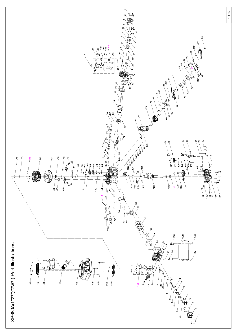